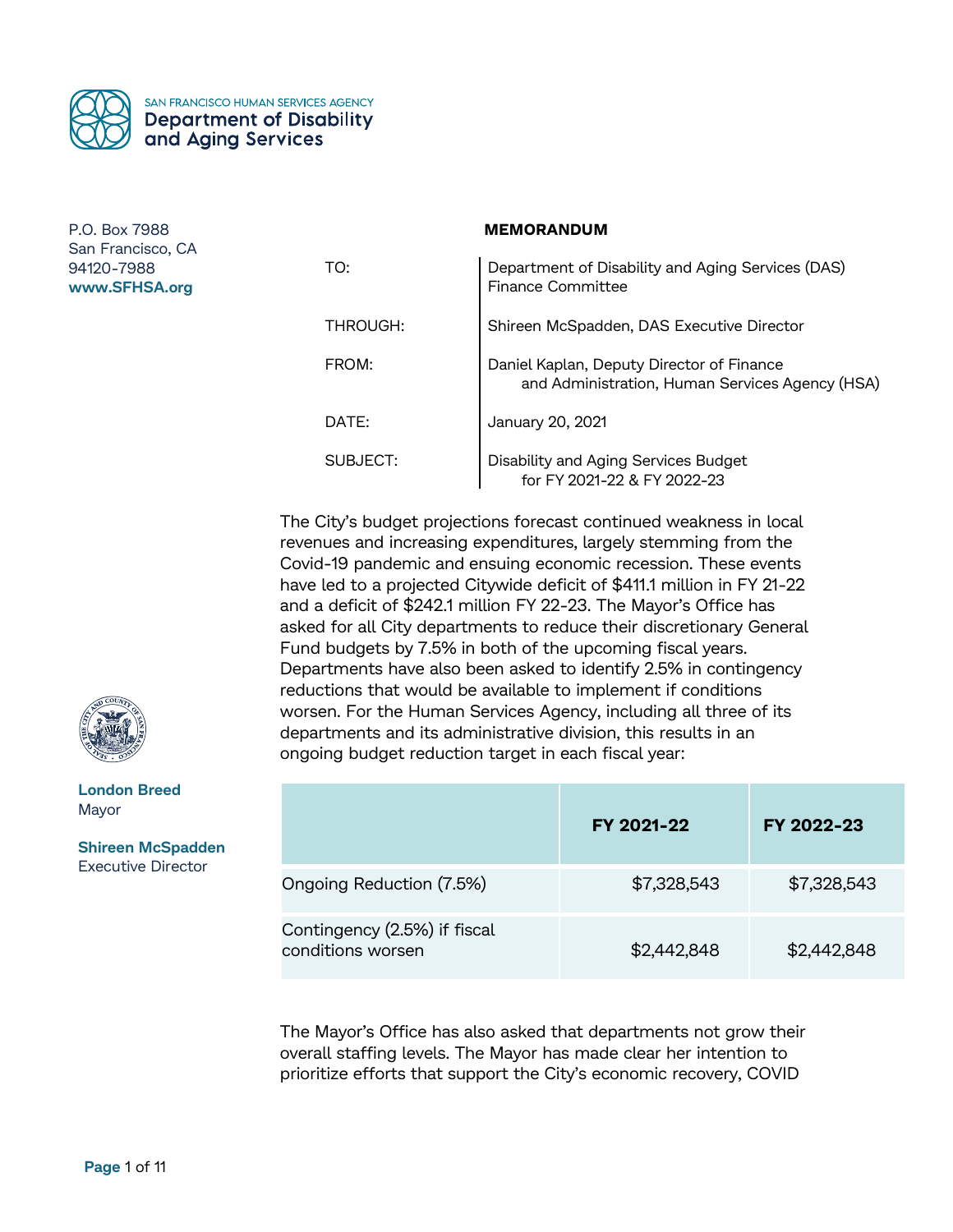

### **MEMORANDUM**

| TO:      | Department of Disability and Aging Services (DAS)<br><b>Finance Committee</b>                |
|----------|----------------------------------------------------------------------------------------------|
| THROUGH: | Shireen McSpadden, DAS Executive Director                                                    |
| FROM:    | Daniel Kaplan, Deputy Director of Finance<br>and Administration, Human Services Agency (HSA) |
| DATE:    | January 20, 2021                                                                             |
| SUBJECT: | Disability and Aging Services Budget<br>for FY 2021-22 & FY 2022-23                          |

The City's budget projections forecast continued weakness in local revenues and increasing expenditures, largely stemming from the Covid-19 pandemic and ensuing economic recession. These events have led to a projected Citywide deficit of \$411.1 million in FY 21-22 and a deficit of \$242.1 million FY 22-23. The Mayor's Office has asked for all City departments to reduce their discretionary General Fund budgets by 7.5% in both of the upcoming fiscal years. Departments have also been asked to identify 2.5% in contingency reductions that would be available to implement if conditions worsen. For the Human Services Agency, including all three of its departments and its administrative division, this results in an ongoing budget reduction target in each fiscal year:

|                                                   | FY 2021-22  | FY 2022-23  |
|---------------------------------------------------|-------------|-------------|
| Ongoing Reduction (7.5%)                          | \$7,328,543 | \$7,328,543 |
| Contingency (2.5%) if fiscal<br>conditions worsen | \$2,442,848 | \$2,442,848 |

The Mayor's Office has also asked that departments not grow their overall staffing levels. The Mayor has made clear her intention to prioritize efforts that support the City's economic recovery, COVID



**London Breed** Mayor

**Shireen McSpadden** Executive Director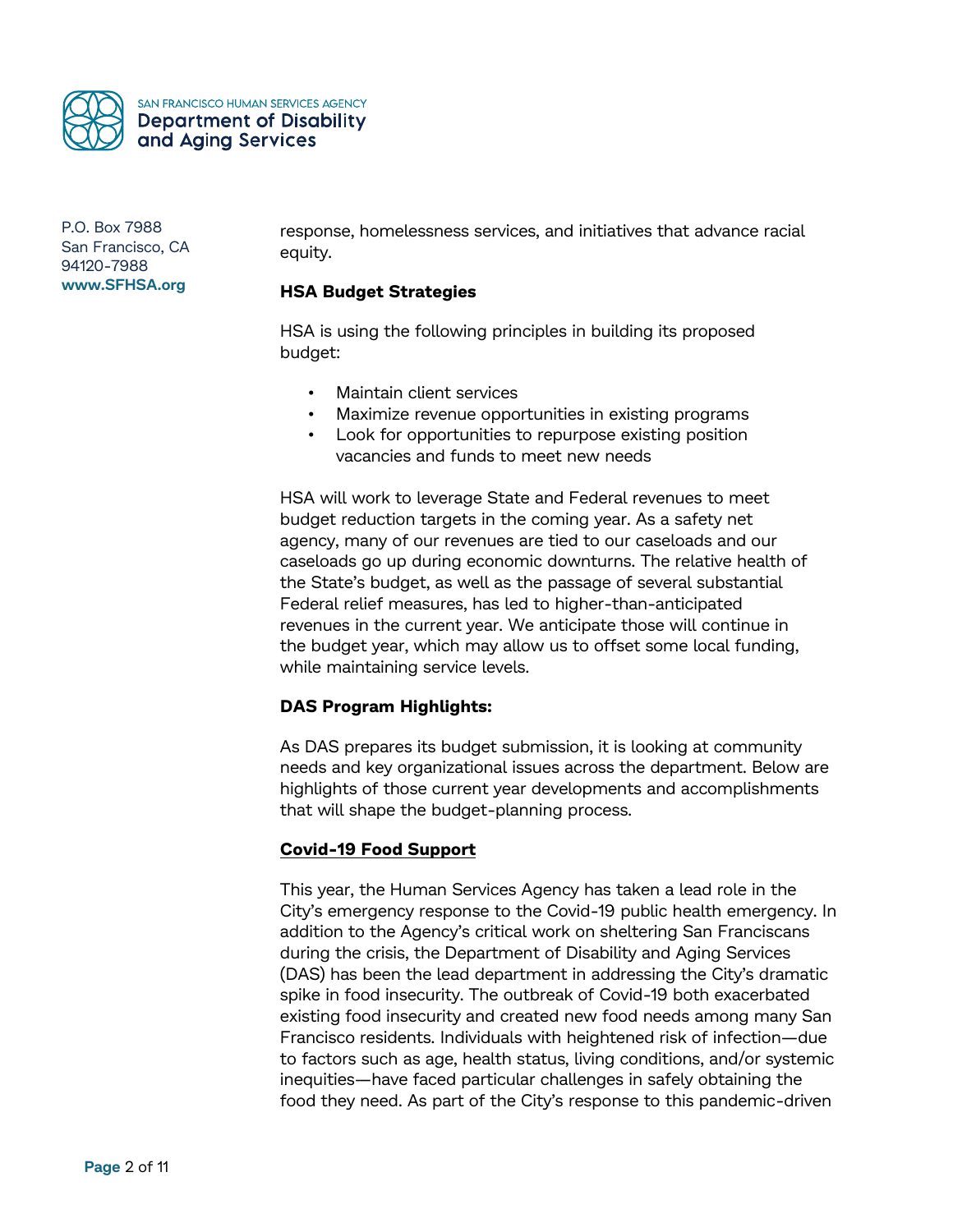

SAN FRANCISCO HUMAN SERVICES AGENCY **Department of Disability** and Aging Services

P.O. Box 7988 San Francisco, CA 94120-7988 **www.SFHSA.org**

response, homelessness services, and initiatives that advance racial equity.

## **HSA Budget Strategies**

HSA is using the following principles in building its proposed budget:

- Maintain client services
- Maximize revenue opportunities in existing programs
- Look for opportunities to repurpose existing position vacancies and funds to meet new needs

HSA will work to leverage State and Federal revenues to meet budget reduction targets in the coming year. As a safety net agency, many of our revenues are tied to our caseloads and our caseloads go up during economic downturns. The relative health of the State's budget, as well as the passage of several substantial Federal relief measures, has led to higher-than-anticipated revenues in the current year. We anticipate those will continue in the budget year, which may allow us to offset some local funding, while maintaining service levels.

## **DAS Program Highlights:**

As DAS prepares its budget submission, it is looking at community needs and key organizational issues across the department. Below are highlights of those current year developments and accomplishments that will shape the budget-planning process.

## **Covid-19 Food Support**

This year, the Human Services Agency has taken a lead role in the City's emergency response to the Covid-19 public health emergency. In addition to the Agency's critical work on sheltering San Franciscans during the crisis, the Department of Disability and Aging Services (DAS) has been the lead department in addressing the City's dramatic spike in food insecurity. The outbreak of Covid-19 both exacerbated existing food insecurity and created new food needs among many San Francisco residents. Individuals with heightened risk of infection—due to factors such as age, health status, living conditions, and/or systemic inequities—have faced particular challenges in safely obtaining the food they need. As part of the City's response to this pandemic-driven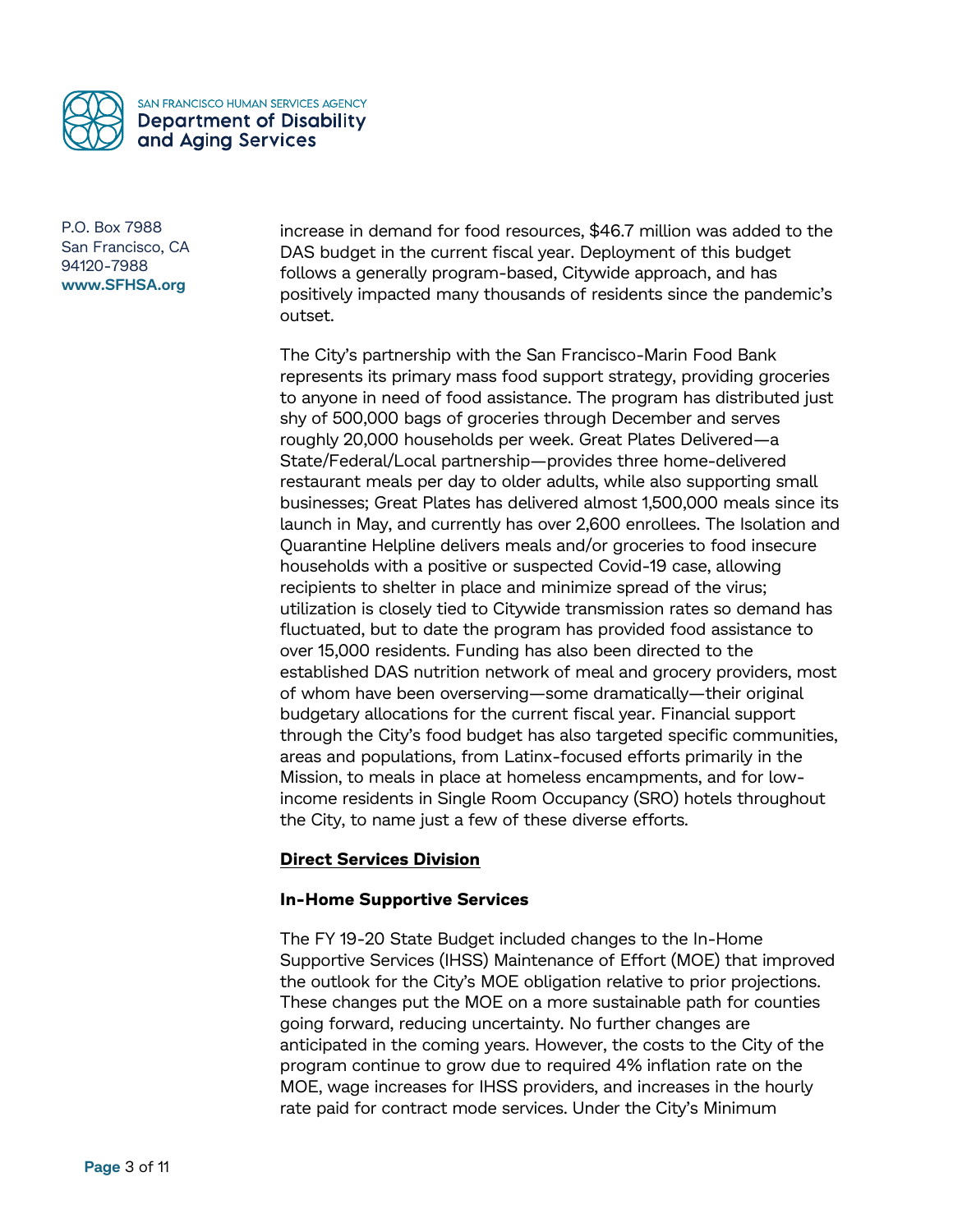

increase in demand for food resources, \$46.7 million was added to the DAS budget in the current fiscal year. Deployment of this budget follows a generally program-based, Citywide approach, and has positively impacted many thousands of residents since the pandemic's outset.

The City's partnership with the San Francisco-Marin Food Bank represents its primary mass food support strategy, providing groceries to anyone in need of food assistance. The program has distributed just shy of 500,000 bags of groceries through December and serves roughly 20,000 households per week. Great Plates Delivered—a State/Federal/Local partnership—provides three home-delivered restaurant meals per day to older adults, while also supporting small businesses; Great Plates has delivered almost 1,500,000 meals since its launch in May, and currently has over 2,600 enrollees. The Isolation and Quarantine Helpline delivers meals and/or groceries to food insecure households with a positive or suspected Covid-19 case, allowing recipients to shelter in place and minimize spread of the virus; utilization is closely tied to Citywide transmission rates so demand has fluctuated, but to date the program has provided food assistance to over 15,000 residents. Funding has also been directed to the established DAS nutrition network of meal and grocery providers, most of whom have been overserving—some dramatically—their original budgetary allocations for the current fiscal year. Financial support through the City's food budget has also targeted specific communities, areas and populations, from Latinx-focused efforts primarily in the Mission, to meals in place at homeless encampments, and for lowincome residents in Single Room Occupancy (SRO) hotels throughout the City, to name just a few of these diverse efforts.

## **Direct Services Division**

## **In-Home Supportive Services**

The FY 19-20 State Budget included changes to the In-Home Supportive Services (IHSS) Maintenance of Effort (MOE) that improved the outlook for the City's MOE obligation relative to prior projections. These changes put the MOE on a more sustainable path for counties going forward, reducing uncertainty. No further changes are anticipated in the coming years. However, the costs to the City of the program continue to grow due to required 4% inflation rate on the MOE, wage increases for IHSS providers, and increases in the hourly rate paid for contract mode services. Under the City's Minimum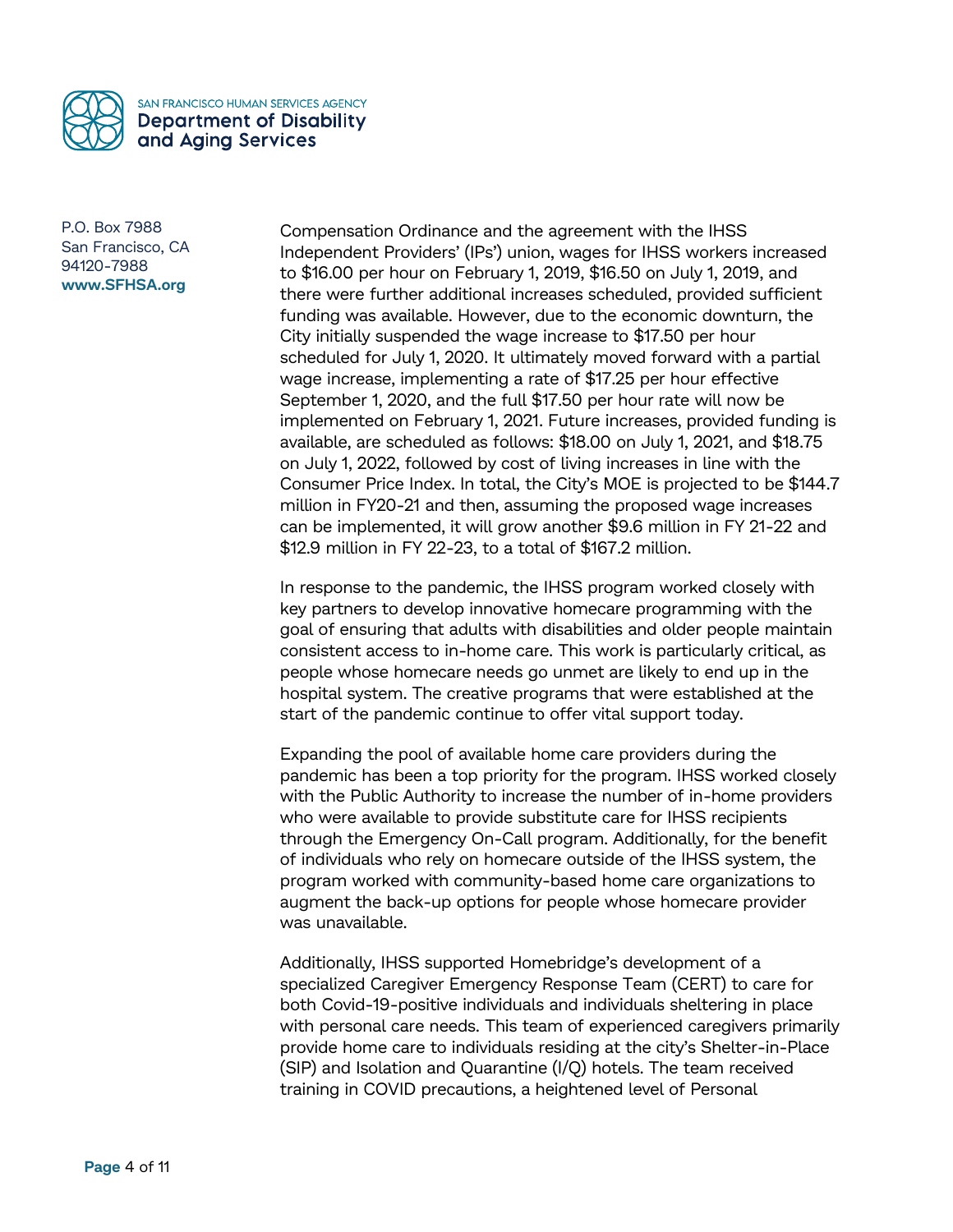

Compensation Ordinance and the agreement with the IHSS Independent Providers' (IPs') union, wages for IHSS workers increased to \$16.00 per hour on February 1, 2019, \$16.50 on July 1, 2019, and there were further additional increases scheduled, provided sufficient funding was available. However, due to the economic downturn, the City initially suspended the wage increase to \$17.50 per hour scheduled for July 1, 2020. It ultimately moved forward with a partial wage increase, implementing a rate of \$17.25 per hour effective September 1, 2020, and the full \$17.50 per hour rate will now be implemented on February 1, 2021. Future increases, provided funding is available, are scheduled as follows: \$18.00 on July 1, 2021, and \$18.75 on July 1, 2022, followed by cost of living increases in line with the Consumer Price Index. In total, the City's MOE is projected to be \$144.7 million in FY20-21 and then, assuming the proposed wage increases can be implemented, it will grow another \$9.6 million in FY 21-22 and \$12.9 million in FY 22-23, to a total of \$167.2 million.

In response to the pandemic, the IHSS program worked closely with key partners to develop innovative homecare programming with the goal of ensuring that adults with disabilities and older people maintain consistent access to in-home care. This work is particularly critical, as people whose homecare needs go unmet are likely to end up in the hospital system. The creative programs that were established at the start of the pandemic continue to offer vital support today.

Expanding the pool of available home care providers during the pandemic has been a top priority for the program. IHSS worked closely with the Public Authority to increase the number of in-home providers who were available to provide substitute care for IHSS recipients through the Emergency On-Call program. Additionally, for the benefit of individuals who rely on homecare outside of the IHSS system, the program worked with community-based home care organizations to augment the back-up options for people whose homecare provider was unavailable.

Additionally, IHSS supported Homebridge's development of a specialized Caregiver Emergency Response Team (CERT) to care for both Covid-19-positive individuals and individuals sheltering in place with personal care needs. This team of experienced caregivers primarily provide home care to individuals residing at the city's Shelter-in-Place (SIP) and Isolation and Quarantine (I/Q) hotels. The team received training in COVID precautions, a heightened level of Personal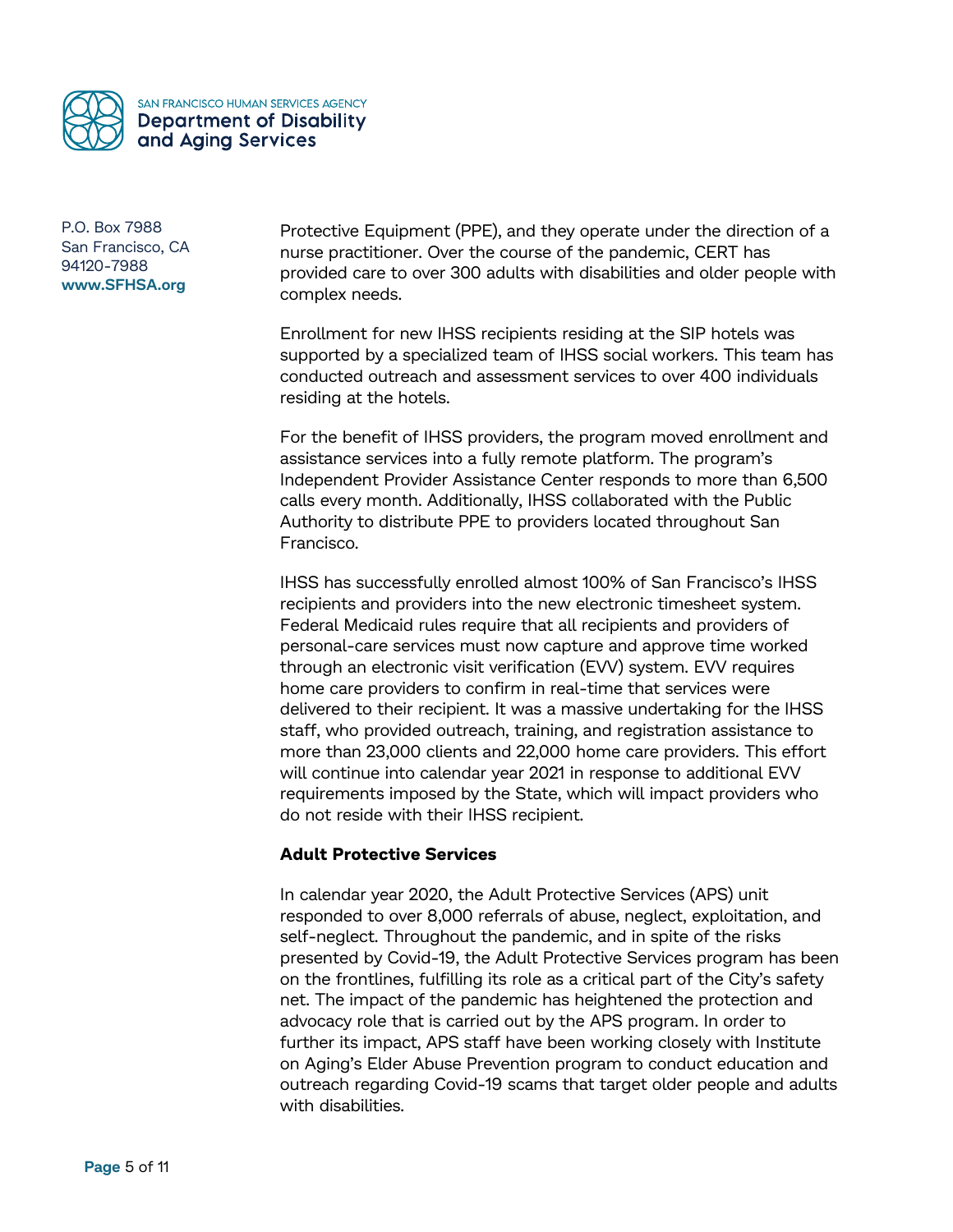

Protective Equipment (PPE), and they operate under the direction of a nurse practitioner. Over the course of the pandemic, CERT has provided care to over 300 adults with disabilities and older people with complex needs.

Enrollment for new IHSS recipients residing at the SIP hotels was supported by a specialized team of IHSS social workers. This team has conducted outreach and assessment services to over 400 individuals residing at the hotels.

For the benefit of IHSS providers, the program moved enrollment and assistance services into a fully remote platform. The program's Independent Provider Assistance Center responds to more than 6,500 calls every month. Additionally, IHSS collaborated with the Public Authority to distribute PPE to providers located throughout San Francisco.

IHSS has successfully enrolled almost 100% of San Francisco's IHSS recipients and providers into the new electronic timesheet system. Federal Medicaid rules require that all recipients and providers of personal-care services must now capture and approve time worked through an electronic visit verification (EVV) system. EVV requires home care providers to confirm in real-time that services were delivered to their recipient. It was a massive undertaking for the IHSS staff, who provided outreach, training, and registration assistance to more than 23,000 clients and 22,000 home care providers. This effort will continue into calendar year 2021 in response to additional EVV requirements imposed by the State, which will impact providers who do not reside with their IHSS recipient.

### **Adult Protective Services**

In calendar year 2020, the Adult Protective Services (APS) unit responded to over 8,000 referrals of abuse, neglect, exploitation, and self-neglect. Throughout the pandemic, and in spite of the risks presented by Covid-19, the Adult Protective Services program has been on the frontlines, fulfilling its role as a critical part of the City's safety net. The impact of the pandemic has heightened the protection and advocacy role that is carried out by the APS program. In order to further its impact, APS staff have been working closely with Institute on Aging's Elder Abuse Prevention program to conduct education and outreach regarding Covid-19 scams that target older people and adults with disabilities.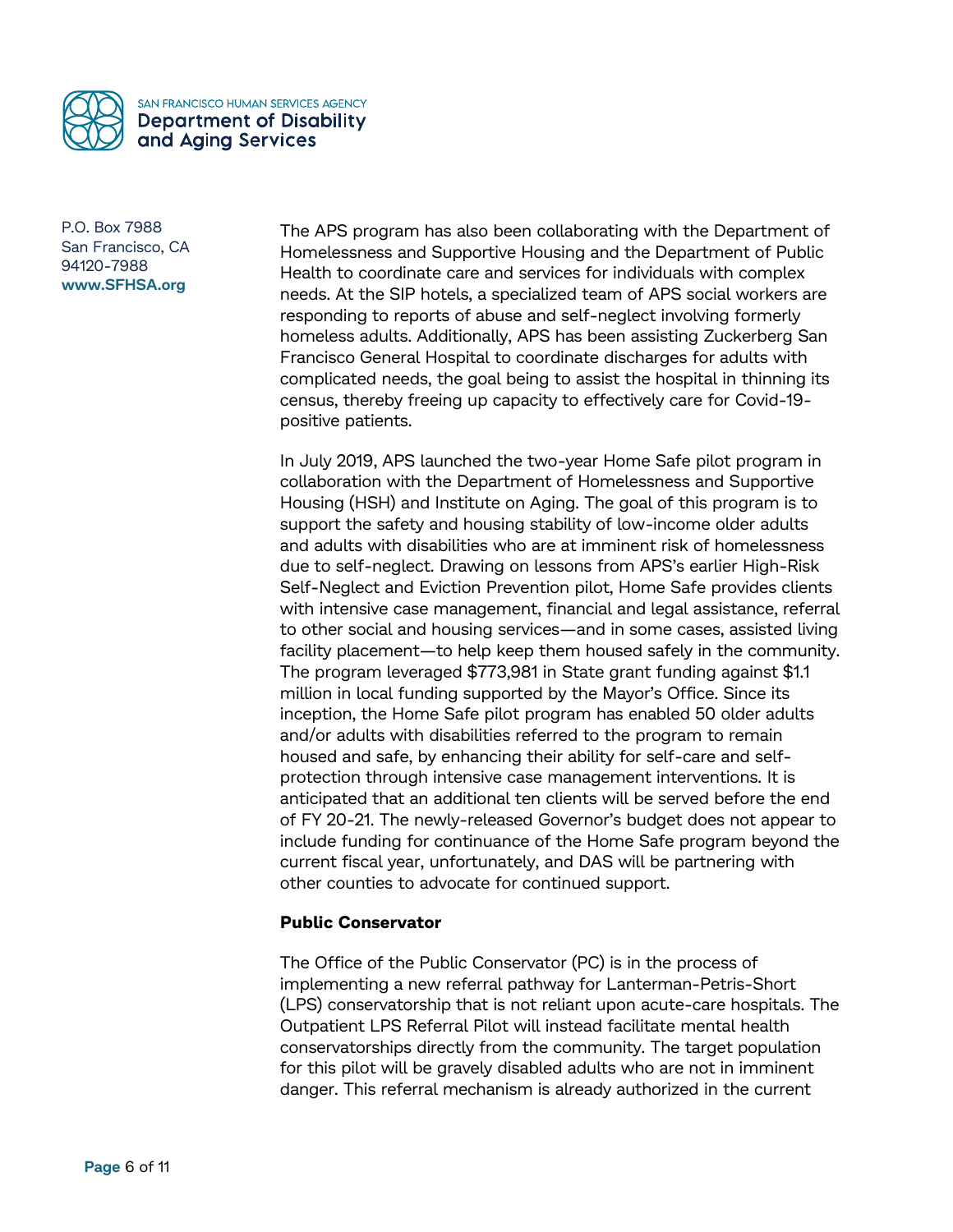

The APS program has also been collaborating with the Department of Homelessness and Supportive Housing and the Department of Public Health to coordinate care and services for individuals with complex needs. At the SIP hotels, a specialized team of APS social workers are responding to reports of abuse and self-neglect involving formerly homeless adults. Additionally, APS has been assisting Zuckerberg San Francisco General Hospital to coordinate discharges for adults with complicated needs, the goal being to assist the hospital in thinning its census, thereby freeing up capacity to effectively care for Covid-19 positive patients.

In July 2019, APS launched the two-year Home Safe pilot program in collaboration with the Department of Homelessness and Supportive Housing (HSH) and Institute on Aging. The goal of this program is to support the safety and housing stability of low-income older adults and adults with disabilities who are at imminent risk of homelessness due to self-neglect. Drawing on lessons from APS's earlier High-Risk Self-Neglect and Eviction Prevention pilot, Home Safe provides clients with intensive case management, financial and legal assistance, referral to other social and housing services—and in some cases, assisted living facility placement—to help keep them housed safely in the community. The program leveraged \$773,981 in State grant funding against \$1.1 million in local funding supported by the Mayor's Office. Since its inception, the Home Safe pilot program has enabled 50 older adults and/or adults with disabilities referred to the program to remain housed and safe, by enhancing their ability for self-care and selfprotection through intensive case management interventions. It is anticipated that an additional ten clients will be served before the end of FY 20-21. The newly-released Governor's budget does not appear to include funding for continuance of the Home Safe program beyond the current fiscal year, unfortunately, and DAS will be partnering with other counties to advocate for continued support.

# **Public Conservator**

The Office of the Public Conservator (PC) is in the process of implementing a new referral pathway for Lanterman-Petris-Short (LPS) conservatorship that is not reliant upon acute-care hospitals. The Outpatient LPS Referral Pilot will instead facilitate mental health conservatorships directly from the community. The target population for this pilot will be gravely disabled adults who are not in imminent danger. This referral mechanism is already authorized in the current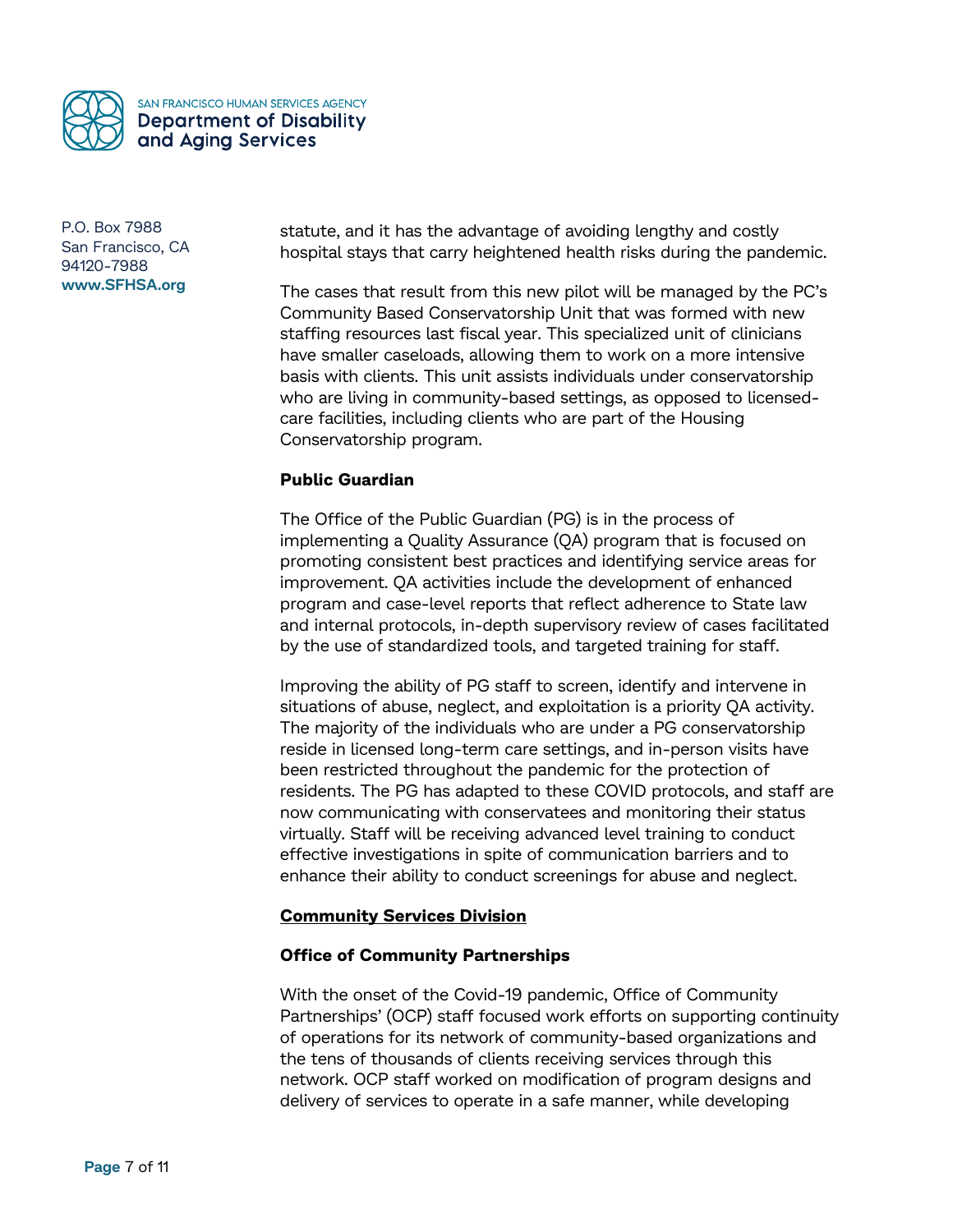

statute, and it has the advantage of avoiding lengthy and costly hospital stays that carry heightened health risks during the pandemic.

The cases that result from this new pilot will be managed by the PC's Community Based Conservatorship Unit that was formed with new staffing resources last fiscal year. This specialized unit of clinicians have smaller caseloads, allowing them to work on a more intensive basis with clients. This unit assists individuals under conservatorship who are living in community-based settings, as opposed to licensedcare facilities, including clients who are part of the Housing Conservatorship program.

## **Public Guardian**

The Office of the Public Guardian (PG) is in the process of implementing a Quality Assurance (QA) program that is focused on promoting consistent best practices and identifying service areas for improvement. QA activities include the development of enhanced program and case-level reports that reflect adherence to State law and internal protocols, in-depth supervisory review of cases facilitated by the use of standardized tools, and targeted training for staff.

Improving the ability of PG staff to screen, identify and intervene in situations of abuse, neglect, and exploitation is a priority QA activity. The majority of the individuals who are under a PG conservatorship reside in licensed long-term care settings, and in-person visits have been restricted throughout the pandemic for the protection of residents. The PG has adapted to these COVID protocols, and staff are now communicating with conservatees and monitoring their status virtually. Staff will be receiving advanced level training to conduct effective investigations in spite of communication barriers and to enhance their ability to conduct screenings for abuse and neglect.

### **Community Services Division**

### **Office of Community Partnerships**

With the onset of the Covid-19 pandemic, Office of Community Partnerships' (OCP) staff focused work efforts on supporting continuity of operations for its network of community-based organizations and the tens of thousands of clients receiving services through this network. OCP staff worked on modification of program designs and delivery of services to operate in a safe manner, while developing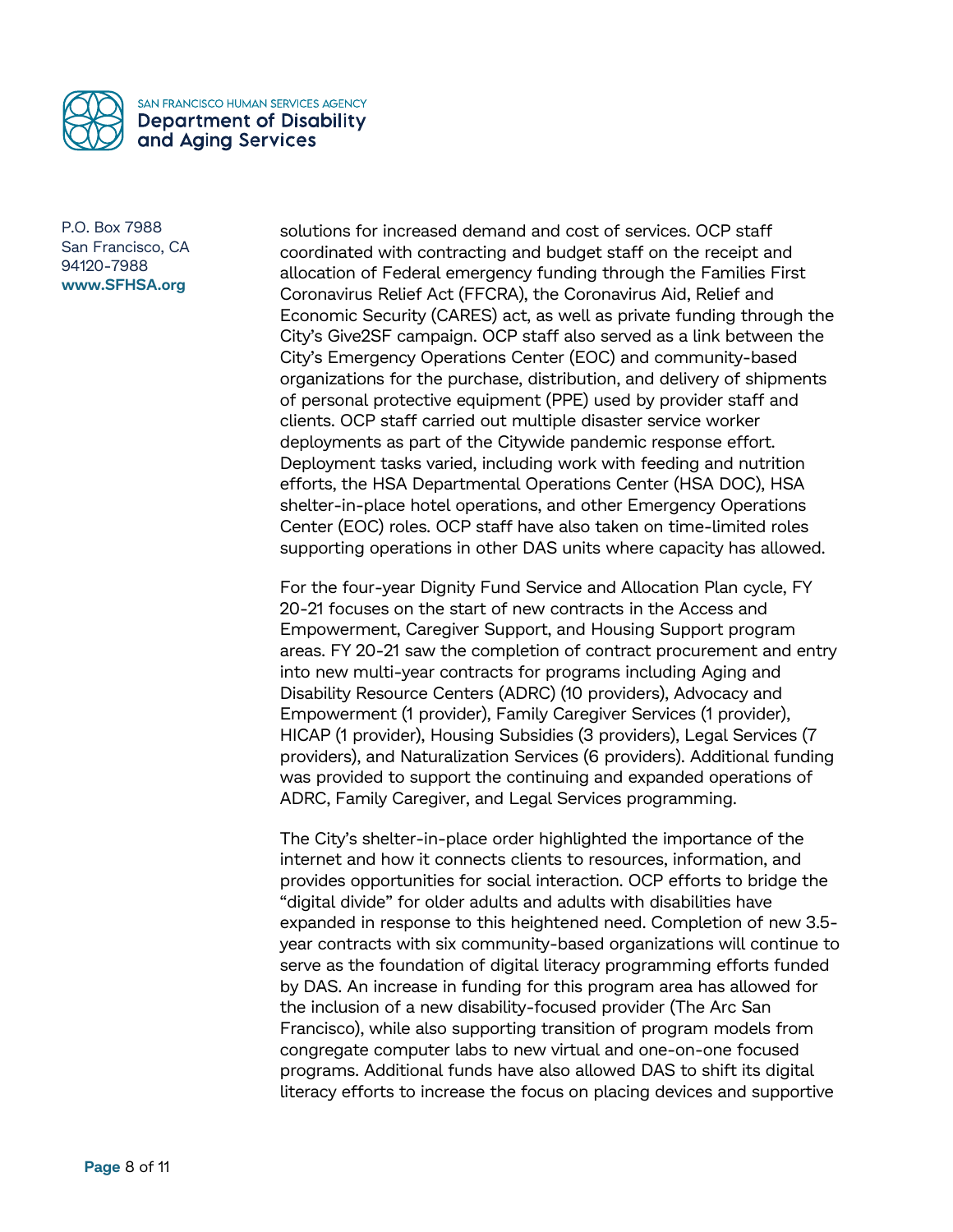

solutions for increased demand and cost of services. OCP staff coordinated with contracting and budget staff on the receipt and allocation of Federal emergency funding through the Families First Coronavirus Relief Act (FFCRA), the Coronavirus Aid, Relief and Economic Security (CARES) act, as well as private funding through the City's Give2SF campaign. OCP staff also served as a link between the City's Emergency Operations Center (EOC) and community-based organizations for the purchase, distribution, and delivery of shipments of personal protective equipment (PPE) used by provider staff and clients. OCP staff carried out multiple disaster service worker deployments as part of the Citywide pandemic response effort. Deployment tasks varied, including work with feeding and nutrition efforts, the HSA Departmental Operations Center (HSA DOC), HSA shelter-in-place hotel operations, and other Emergency Operations Center (EOC) roles. OCP staff have also taken on time-limited roles supporting operations in other DAS units where capacity has allowed.

For the four-year Dignity Fund Service and Allocation Plan cycle, FY 20-21 focuses on the start of new contracts in the Access and Empowerment, Caregiver Support, and Housing Support program areas. FY 20-21 saw the completion of contract procurement and entry into new multi-year contracts for programs including Aging and Disability Resource Centers (ADRC) (10 providers), Advocacy and Empowerment (1 provider), Family Caregiver Services (1 provider), HICAP (1 provider), Housing Subsidies (3 providers), Legal Services (7 providers), and Naturalization Services (6 providers). Additional funding was provided to support the continuing and expanded operations of ADRC, Family Caregiver, and Legal Services programming.

The City's shelter-in-place order highlighted the importance of the internet and how it connects clients to resources, information, and provides opportunities for social interaction. OCP efforts to bridge the "digital divide" for older adults and adults with disabilities have expanded in response to this heightened need. Completion of new 3.5 year contracts with six community-based organizations will continue to serve as the foundation of digital literacy programming efforts funded by DAS. An increase in funding for this program area has allowed for the inclusion of a new disability-focused provider (The Arc San Francisco), while also supporting transition of program models from congregate computer labs to new virtual and one-on-one focused programs. Additional funds have also allowed DAS to shift its digital literacy efforts to increase the focus on placing devices and supportive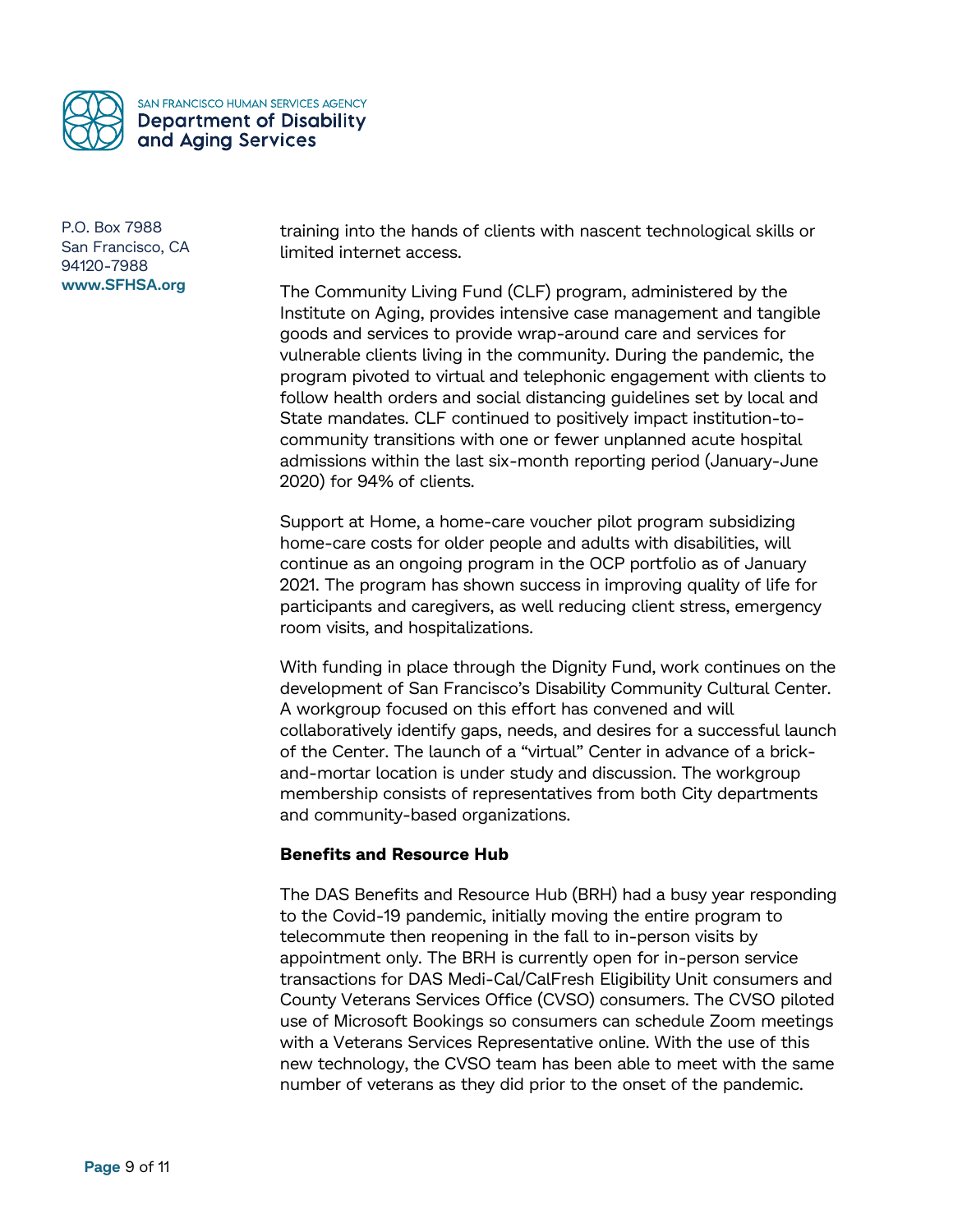

training into the hands of clients with nascent technological skills or limited internet access.

The Community Living Fund (CLF) program, administered by the Institute on Aging, provides intensive case management and tangible goods and services to provide wrap-around care and services for vulnerable clients living in the community. During the pandemic, the program pivoted to virtual and telephonic engagement with clients to follow health orders and social distancing guidelines set by local and State mandates. CLF continued to positively impact institution-tocommunity transitions with one or fewer unplanned acute hospital admissions within the last six-month reporting period (January-June 2020) for 94% of clients.

Support at Home, a home-care voucher pilot program subsidizing home-care costs for older people and adults with disabilities, will continue as an ongoing program in the OCP portfolio as of January 2021. The program has shown success in improving quality of life for participants and caregivers, as well reducing client stress, emergency room visits, and hospitalizations.

With funding in place through the Dignity Fund, work continues on the development of San Francisco's Disability Community Cultural Center. A workgroup focused on this effort has convened and will collaboratively identify gaps, needs, and desires for a successful launch of the Center. The launch of a "virtual" Center in advance of a brickand-mortar location is under study and discussion. The workgroup membership consists of representatives from both City departments and community-based organizations.

## **Benefits and Resource Hub**

The DAS Benefits and Resource Hub (BRH) had a busy year responding to the Covid-19 pandemic, initially moving the entire program to telecommute then reopening in the fall to in-person visits by appointment only. The BRH is currently open for in-person service transactions for DAS Medi-Cal/CalFresh Eligibility Unit consumers and County Veterans Services Office (CVSO) consumers. The CVSO piloted use of Microsoft Bookings so consumers can schedule Zoom meetings with a Veterans Services Representative online. With the use of this new technology, the CVSO team has been able to meet with the same number of veterans as they did prior to the onset of the pandemic.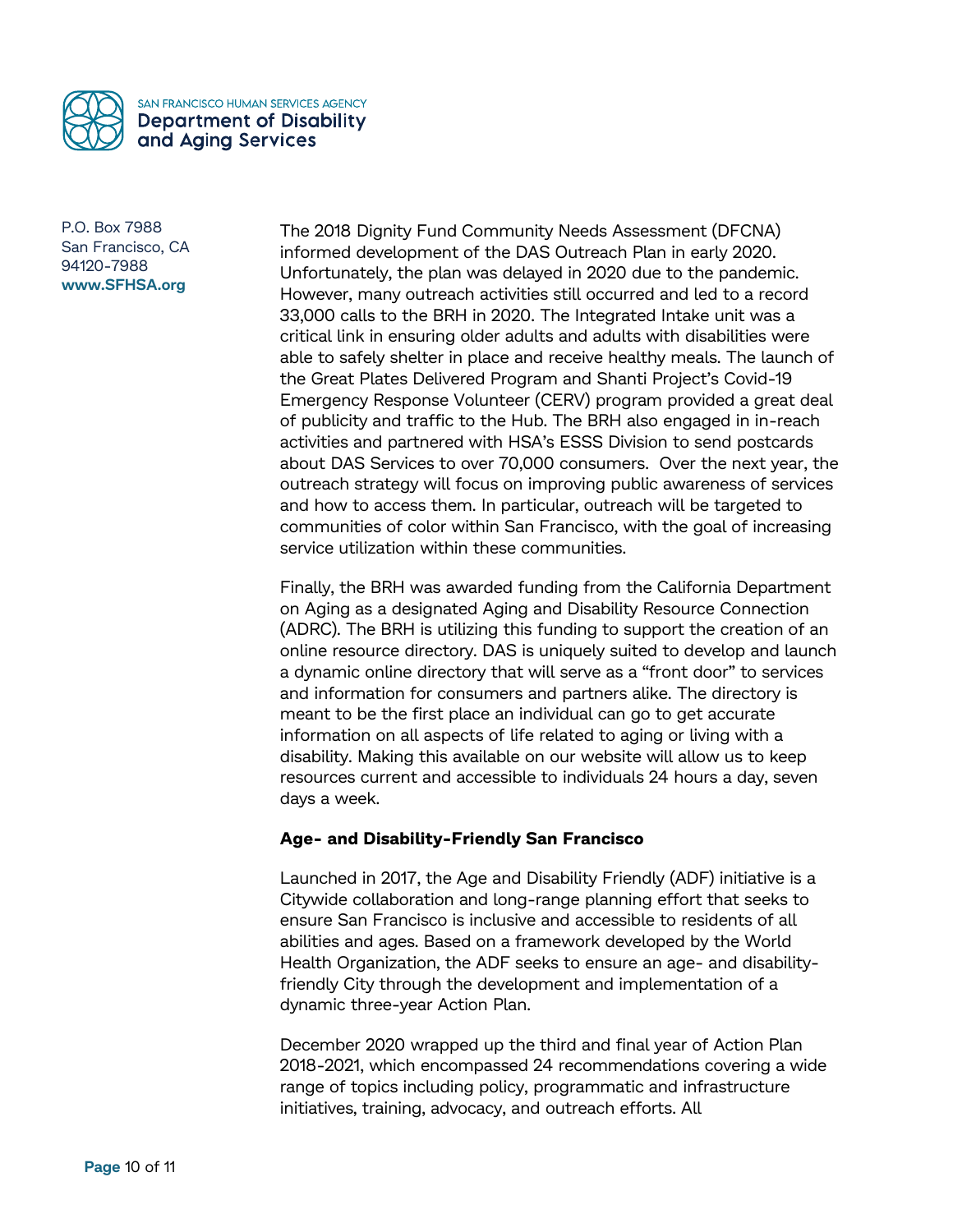

The 2018 Dignity Fund Community Needs Assessment (DFCNA) informed development of the DAS Outreach Plan in early 2020. Unfortunately, the plan was delayed in 2020 due to the pandemic. However, many outreach activities still occurred and led to a record 33,000 calls to the BRH in 2020. The Integrated Intake unit was a critical link in ensuring older adults and adults with disabilities were able to safely shelter in place and receive healthy meals. The launch of the Great Plates Delivered Program and Shanti Project's Covid-19 Emergency Response Volunteer (CERV) program provided a great deal of publicity and traffic to the Hub. The BRH also engaged in in-reach activities and partnered with HSA's ESSS Division to send postcards about DAS Services to over 70,000 consumers. Over the next year, the outreach strategy will focus on improving public awareness of services and how to access them. In particular, outreach will be targeted to communities of color within San Francisco, with the goal of increasing service utilization within these communities.

Finally, the BRH was awarded funding from the California Department on Aging as a designated Aging and Disability Resource Connection (ADRC). The BRH is utilizing this funding to support the creation of an online resource directory. DAS is uniquely suited to develop and launch a dynamic online directory that will serve as a "front door" to services and information for consumers and partners alike. The directory is meant to be the first place an individual can go to get accurate information on all aspects of life related to aging or living with a disability. Making this available on our website will allow us to keep resources current and accessible to individuals 24 hours a day, seven days a week.

## **Age- and Disability-Friendly San Francisco**

Launched in 2017, the Age and Disability Friendly (ADF) initiative is a Citywide collaboration and long-range planning effort that seeks to ensure San Francisco is inclusive and accessible to residents of all abilities and ages. Based on a framework developed by the World Health Organization, the ADF seeks to ensure an age- and disabilityfriendly City through the development and implementation of a dynamic three-year Action Plan.

December 2020 wrapped up the third and final year of Action Plan 2018-2021, which encompassed 24 recommendations covering a wide range of topics including policy, programmatic and infrastructure initiatives, training, advocacy, and outreach efforts. All